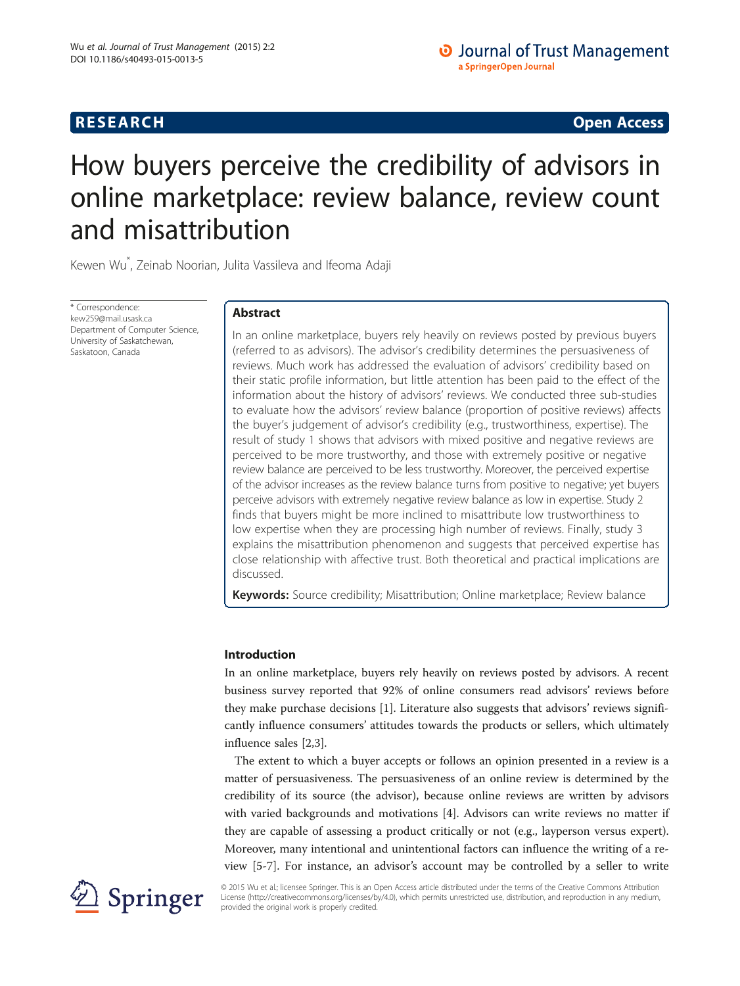# **RESEARCH CHINESE ARCH CHINESE ARCH CHINESE ARCH**

# How buyers perceive the credibility of advisors in online marketplace: review balance, review count and misattribution

Kewen Wu\* , Zeinab Noorian, Julita Vassileva and Ifeoma Adaji

\* Correspondence: [kew259@mail.usask.ca](mailto:kew259@mail.usask.ca) Department of Computer Science, University of Saskatchewan, Saskatoon, Canada

# Abstract

In an online marketplace, buyers rely heavily on reviews posted by previous buyers (referred to as advisors). The advisor's credibility determines the persuasiveness of reviews. Much work has addressed the evaluation of advisors' credibility based on their static profile information, but little attention has been paid to the effect of the information about the history of advisors' reviews. We conducted three sub-studies to evaluate how the advisors' review balance (proportion of positive reviews) affects the buyer's judgement of advisor's credibility (e.g., trustworthiness, expertise). The result of study 1 shows that advisors with mixed positive and negative reviews are perceived to be more trustworthy, and those with extremely positive or negative review balance are perceived to be less trustworthy. Moreover, the perceived expertise of the advisor increases as the review balance turns from positive to negative; yet buyers perceive advisors with extremely negative review balance as low in expertise. Study 2 finds that buyers might be more inclined to misattribute low trustworthiness to low expertise when they are processing high number of reviews. Finally, study 3 explains the misattribution phenomenon and suggests that perceived expertise has close relationship with affective trust. Both theoretical and practical implications are discussed.

**Keywords:** Source credibility; Misattribution; Online marketplace; Review balance

# Introduction

In an online marketplace, buyers rely heavily on reviews posted by advisors. A recent business survey reported that 92% of online consumers read advisors' reviews before they make purchase decisions [[1\]](#page-15-0). Literature also suggests that advisors' reviews significantly influence consumers' attitudes towards the products or sellers, which ultimately influence sales [[2,3\]](#page-15-0).

The extent to which a buyer accepts or follows an opinion presented in a review is a matter of persuasiveness. The persuasiveness of an online review is determined by the credibility of its source (the advisor), because online reviews are written by advisors with varied backgrounds and motivations [\[4](#page-15-0)]. Advisors can write reviews no matter if they are capable of assessing a product critically or not (e.g., layperson versus expert). Moreover, many intentional and unintentional factors can influence the writing of a review [\[5](#page-15-0)-[7\]](#page-15-0). For instance, an advisor's account may be controlled by a seller to write



© 2015 Wu et al.; licensee Springer. This is an Open Access article distributed under the terms of the Creative Commons Attribution License [\(http://creativecommons.org/licenses/by/4.0\)](http://creativecommons.org/licenses/by/4.0), which permits unrestricted use, distribution, and reproduction in any medium, provided the original work is properly credited.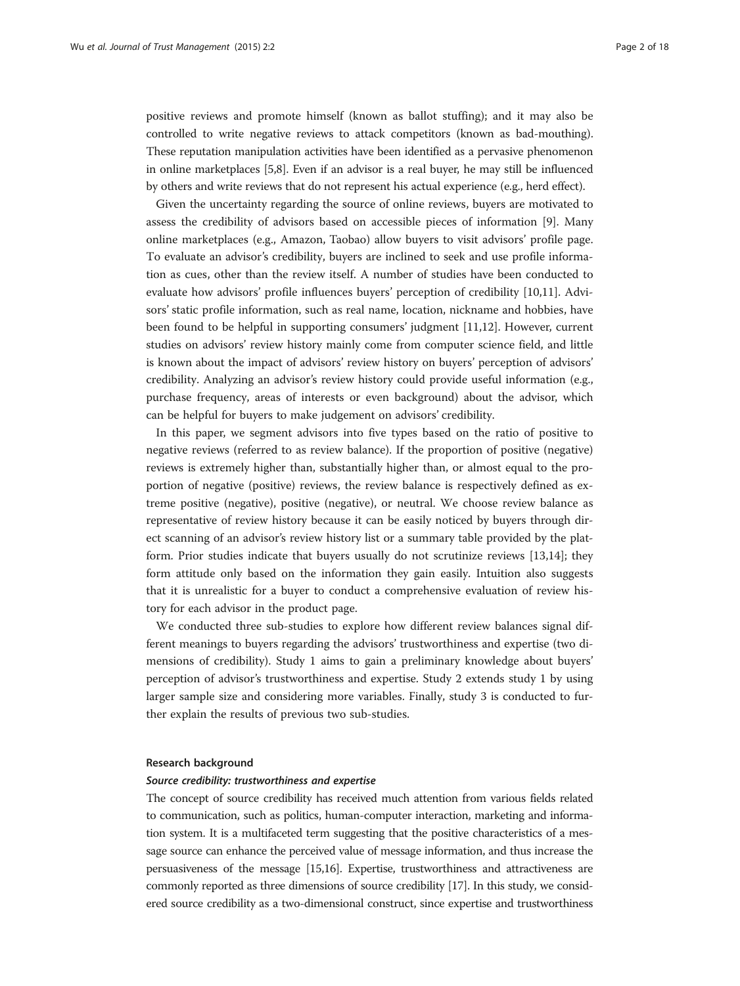positive reviews and promote himself (known as ballot stuffing); and it may also be controlled to write negative reviews to attack competitors (known as bad-mouthing). These reputation manipulation activities have been identified as a pervasive phenomenon in online marketplaces [[5,8](#page-15-0)]. Even if an advisor is a real buyer, he may still be influenced by others and write reviews that do not represent his actual experience (e.g., herd effect).

Given the uncertainty regarding the source of online reviews, buyers are motivated to assess the credibility of advisors based on accessible pieces of information [[9\]](#page-15-0). Many online marketplaces (e.g., Amazon, Taobao) allow buyers to visit advisors' profile page. To evaluate an advisor's credibility, buyers are inclined to seek and use profile information as cues, other than the review itself. A number of studies have been conducted to evaluate how advisors' profile influences buyers' perception of credibility [\[10,11](#page-15-0)]. Advisors' static profile information, such as real name, location, nickname and hobbies, have been found to be helpful in supporting consumers' judgment [[11,12\]](#page-15-0). However, current studies on advisors' review history mainly come from computer science field, and little is known about the impact of advisors' review history on buyers' perception of advisors' credibility. Analyzing an advisor's review history could provide useful information (e.g., purchase frequency, areas of interests or even background) about the advisor, which can be helpful for buyers to make judgement on advisors' credibility.

In this paper, we segment advisors into five types based on the ratio of positive to negative reviews (referred to as review balance). If the proportion of positive (negative) reviews is extremely higher than, substantially higher than, or almost equal to the proportion of negative (positive) reviews, the review balance is respectively defined as extreme positive (negative), positive (negative), or neutral. We choose review balance as representative of review history because it can be easily noticed by buyers through direct scanning of an advisor's review history list or a summary table provided by the platform. Prior studies indicate that buyers usually do not scrutinize reviews [[13,14](#page-15-0)]; they form attitude only based on the information they gain easily. Intuition also suggests that it is unrealistic for a buyer to conduct a comprehensive evaluation of review history for each advisor in the product page.

We conducted three sub-studies to explore how different review balances signal different meanings to buyers regarding the advisors' trustworthiness and expertise (two dimensions of credibility). Study 1 aims to gain a preliminary knowledge about buyers' perception of advisor's trustworthiness and expertise. Study 2 extends study 1 by using larger sample size and considering more variables. Finally, study 3 is conducted to further explain the results of previous two sub-studies.

#### Research background

#### Source credibility: trustworthiness and expertise

The concept of source credibility has received much attention from various fields related to communication, such as politics, human-computer interaction, marketing and information system. It is a multifaceted term suggesting that the positive characteristics of a message source can enhance the perceived value of message information, and thus increase the persuasiveness of the message [\[15,16](#page-15-0)]. Expertise, trustworthiness and attractiveness are commonly reported as three dimensions of source credibility [[17](#page-15-0)]. In this study, we considered source credibility as a two-dimensional construct, since expertise and trustworthiness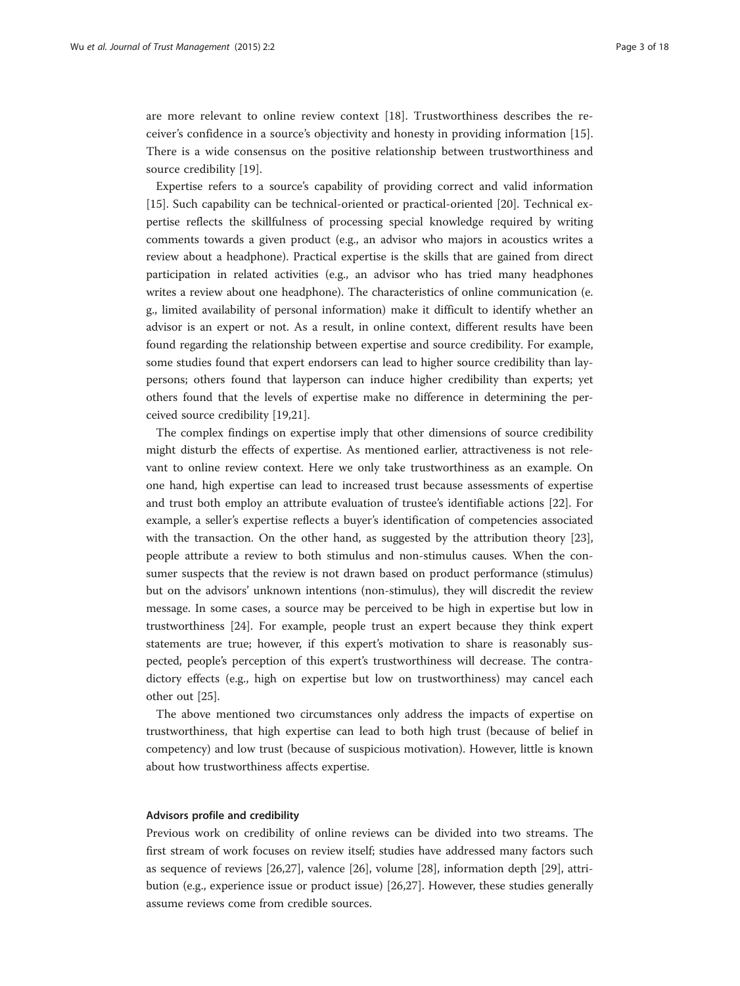are more relevant to online review context [[18\]](#page-15-0). Trustworthiness describes the receiver's confidence in a source's objectivity and honesty in providing information [\[15](#page-15-0)]. There is a wide consensus on the positive relationship between trustworthiness and source credibility [[19\]](#page-16-0).

Expertise refers to a source's capability of providing correct and valid information [[15\]](#page-15-0). Such capability can be technical-oriented or practical-oriented [\[20\]](#page-16-0). Technical expertise reflects the skillfulness of processing special knowledge required by writing comments towards a given product (e.g., an advisor who majors in acoustics writes a review about a headphone). Practical expertise is the skills that are gained from direct participation in related activities (e.g., an advisor who has tried many headphones writes a review about one headphone). The characteristics of online communication (e. g., limited availability of personal information) make it difficult to identify whether an advisor is an expert or not. As a result, in online context, different results have been found regarding the relationship between expertise and source credibility. For example, some studies found that expert endorsers can lead to higher source credibility than laypersons; others found that layperson can induce higher credibility than experts; yet others found that the levels of expertise make no difference in determining the perceived source credibility [\[19,21](#page-16-0)].

The complex findings on expertise imply that other dimensions of source credibility might disturb the effects of expertise. As mentioned earlier, attractiveness is not relevant to online review context. Here we only take trustworthiness as an example. On one hand, high expertise can lead to increased trust because assessments of expertise and trust both employ an attribute evaluation of trustee's identifiable actions [[22\]](#page-16-0). For example, a seller's expertise reflects a buyer's identification of competencies associated with the transaction. On the other hand, as suggested by the attribution theory [[23](#page-16-0)], people attribute a review to both stimulus and non-stimulus causes. When the consumer suspects that the review is not drawn based on product performance (stimulus) but on the advisors' unknown intentions (non-stimulus), they will discredit the review message. In some cases, a source may be perceived to be high in expertise but low in trustworthiness [[24](#page-16-0)]. For example, people trust an expert because they think expert statements are true; however, if this expert's motivation to share is reasonably suspected, people's perception of this expert's trustworthiness will decrease. The contradictory effects (e.g., high on expertise but low on trustworthiness) may cancel each other out [[25\]](#page-16-0).

The above mentioned two circumstances only address the impacts of expertise on trustworthiness, that high expertise can lead to both high trust (because of belief in competency) and low trust (because of suspicious motivation). However, little is known about how trustworthiness affects expertise.

#### Advisors profile and credibility

Previous work on credibility of online reviews can be divided into two streams. The first stream of work focuses on review itself; studies have addressed many factors such as sequence of reviews [\[26,27](#page-16-0)], valence [\[26](#page-16-0)], volume [[28\]](#page-16-0), information depth [[29\]](#page-16-0), attribution (e.g., experience issue or product issue) [[26,27](#page-16-0)]. However, these studies generally assume reviews come from credible sources.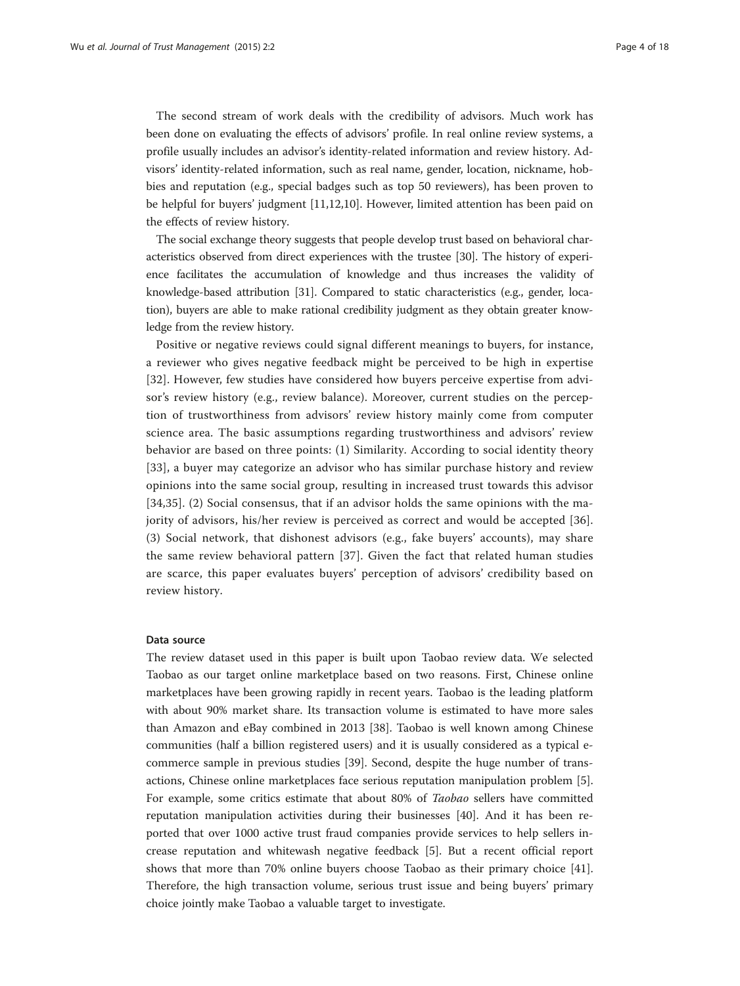The second stream of work deals with the credibility of advisors. Much work has been done on evaluating the effects of advisors' profile. In real online review systems, a profile usually includes an advisor's identity-related information and review history. Advisors' identity-related information, such as real name, gender, location, nickname, hobbies and reputation (e.g., special badges such as top 50 reviewers), has been proven to be helpful for buyers' judgment [[11,12,10\]](#page-15-0). However, limited attention has been paid on the effects of review history.

The social exchange theory suggests that people develop trust based on behavioral characteristics observed from direct experiences with the trustee [[30\]](#page-16-0). The history of experience facilitates the accumulation of knowledge and thus increases the validity of knowledge-based attribution [\[31\]](#page-16-0). Compared to static characteristics (e.g., gender, location), buyers are able to make rational credibility judgment as they obtain greater knowledge from the review history.

Positive or negative reviews could signal different meanings to buyers, for instance, a reviewer who gives negative feedback might be perceived to be high in expertise [[32](#page-16-0)]. However, few studies have considered how buyers perceive expertise from advisor's review history (e.g., review balance). Moreover, current studies on the perception of trustworthiness from advisors' review history mainly come from computer science area. The basic assumptions regarding trustworthiness and advisors' review behavior are based on three points: (1) Similarity. According to social identity theory [[33](#page-16-0)], a buyer may categorize an advisor who has similar purchase history and review opinions into the same social group, resulting in increased trust towards this advisor [[34,35](#page-16-0)]. (2) Social consensus, that if an advisor holds the same opinions with the majority of advisors, his/her review is perceived as correct and would be accepted [[36](#page-16-0)]. (3) Social network, that dishonest advisors (e.g., fake buyers' accounts), may share the same review behavioral pattern [[37\]](#page-16-0). Given the fact that related human studies are scarce, this paper evaluates buyers' perception of advisors' credibility based on review history.

#### Data source

The review dataset used in this paper is built upon Taobao review data. We selected Taobao as our target online marketplace based on two reasons. First, Chinese online marketplaces have been growing rapidly in recent years. Taobao is the leading platform with about 90% market share. Its transaction volume is estimated to have more sales than Amazon and eBay combined in 2013 [[38](#page-16-0)]. Taobao is well known among Chinese communities (half a billion registered users) and it is usually considered as a typical ecommerce sample in previous studies [[39](#page-16-0)]. Second, despite the huge number of transactions, Chinese online marketplaces face serious reputation manipulation problem [\[5](#page-15-0)]. For example, some critics estimate that about 80% of Taobao sellers have committed reputation manipulation activities during their businesses [\[40](#page-16-0)]. And it has been reported that over 1000 active trust fraud companies provide services to help sellers increase reputation and whitewash negative feedback [\[5](#page-15-0)]. But a recent official report shows that more than 70% online buyers choose Taobao as their primary choice [[41](#page-16-0)]. Therefore, the high transaction volume, serious trust issue and being buyers' primary choice jointly make Taobao a valuable target to investigate.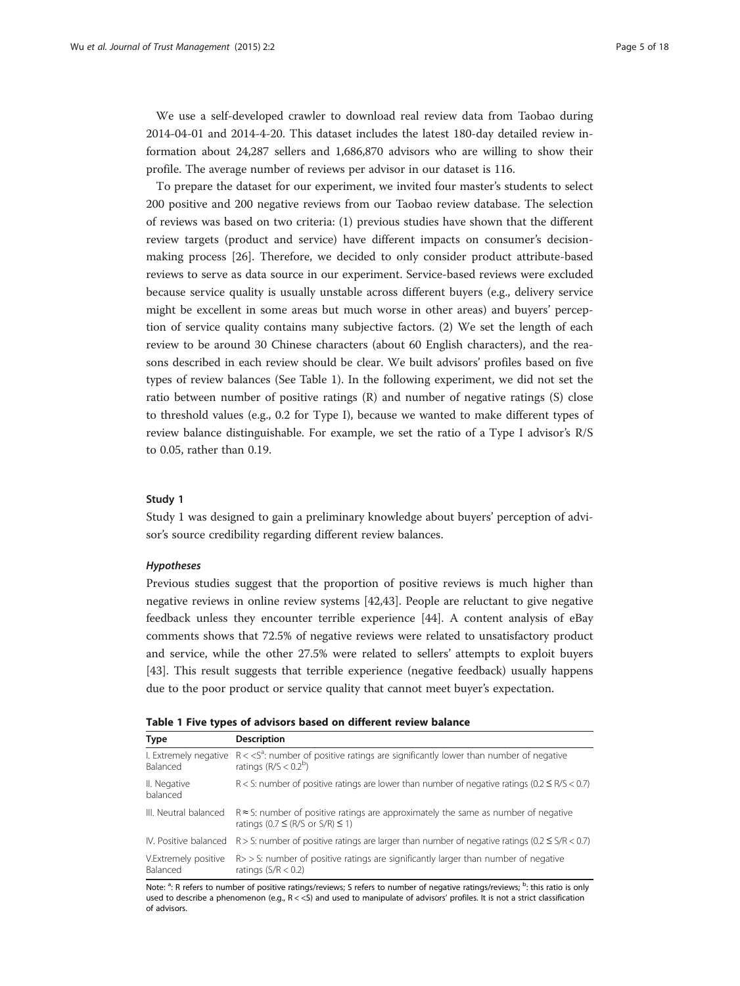We use a self-developed crawler to download real review data from Taobao during 2014-04-01 and 2014-4-20. This dataset includes the latest 180-day detailed review information about 24,287 sellers and 1,686,870 advisors who are willing to show their profile. The average number of reviews per advisor in our dataset is 116.

To prepare the dataset for our experiment, we invited four master's students to select 200 positive and 200 negative reviews from our Taobao review database. The selection of reviews was based on two criteria: (1) previous studies have shown that the different review targets (product and service) have different impacts on consumer's decisionmaking process [[26\]](#page-16-0). Therefore, we decided to only consider product attribute-based reviews to serve as data source in our experiment. Service-based reviews were excluded because service quality is usually unstable across different buyers (e.g., delivery service might be excellent in some areas but much worse in other areas) and buyers' perception of service quality contains many subjective factors. (2) We set the length of each review to be around 30 Chinese characters (about 60 English characters), and the reasons described in each review should be clear. We built advisors' profiles based on five types of review balances (See Table 1). In the following experiment, we did not set the ratio between number of positive ratings (R) and number of negative ratings (S) close to threshold values (e.g., 0.2 for Type I), because we wanted to make different types of review balance distinguishable. For example, we set the ratio of a Type I advisor's R/S to 0.05, rather than 0.19.

#### Study 1

Study 1 was designed to gain a preliminary knowledge about buyers' perception of advisor's source credibility regarding different review balances.

#### Hypotheses

Previous studies suggest that the proportion of positive reviews is much higher than negative reviews in online review systems [\[42,43\]](#page-16-0). People are reluctant to give negative feedback unless they encounter terrible experience [\[44](#page-16-0)]. A content analysis of eBay comments shows that 72.5% of negative reviews were related to unsatisfactory product and service, while the other 27.5% were related to sellers' attempts to exploit buyers [[43\]](#page-16-0). This result suggests that terrible experience (negative feedback) usually happens due to the poor product or service quality that cannot meet buyer's expectation.

Table 1 Five types of advisors based on different review balance

| <b>Type</b>                       | <b>Description</b>                                                                                                                                                                                                                            |
|-----------------------------------|-----------------------------------------------------------------------------------------------------------------------------------------------------------------------------------------------------------------------------------------------|
| I. Extremely negative<br>Balanced | $R < Sa$ : number of positive ratings are significantly lower than number of negative<br>ratings $(R/S < 0.2^b)$                                                                                                                              |
| II. Negative<br>balanced          | $R < S$ : number of positive ratings are lower than number of negative ratings (0.2 $\leq R/S < 0.7$ )                                                                                                                                        |
| III. Neutral balanced             | $R \approx S$ : number of positive ratings are approximately the same as number of negative<br>ratings (0.7 $\leq$ (R/S or S/R) $\leq$ 1)                                                                                                     |
|                                   | IV. Positive balanced $R > S$ : number of positive ratings are larger than number of negative ratings (0.2 $\leq S/R < 0.7$ )                                                                                                                 |
| V.Extremely positive<br>Balanced  | $R$ > S: number of positive ratings are significantly larger than number of negative<br>ratings $(S/R < 0.2)$                                                                                                                                 |
| $\cdots$ $\cdots$                 | <b>h</b><br>$\mathbf{r}$ , and a subset of the subset of the subset of the subset of the subset of the subset of the subset of the subset of the subset of the subset of the subset of the subset of the subset of the subset of the subset o |

Note: <sup>a</sup>: R refers to number of positive ratings/reviews; S refers to number of negative ratings/reviews; <sup>b</sup>: this ratio is only used to describe a phenomenon (e.g., R < <S) and used to manipulate of advisors' profiles. It is not a strict classification of advisors.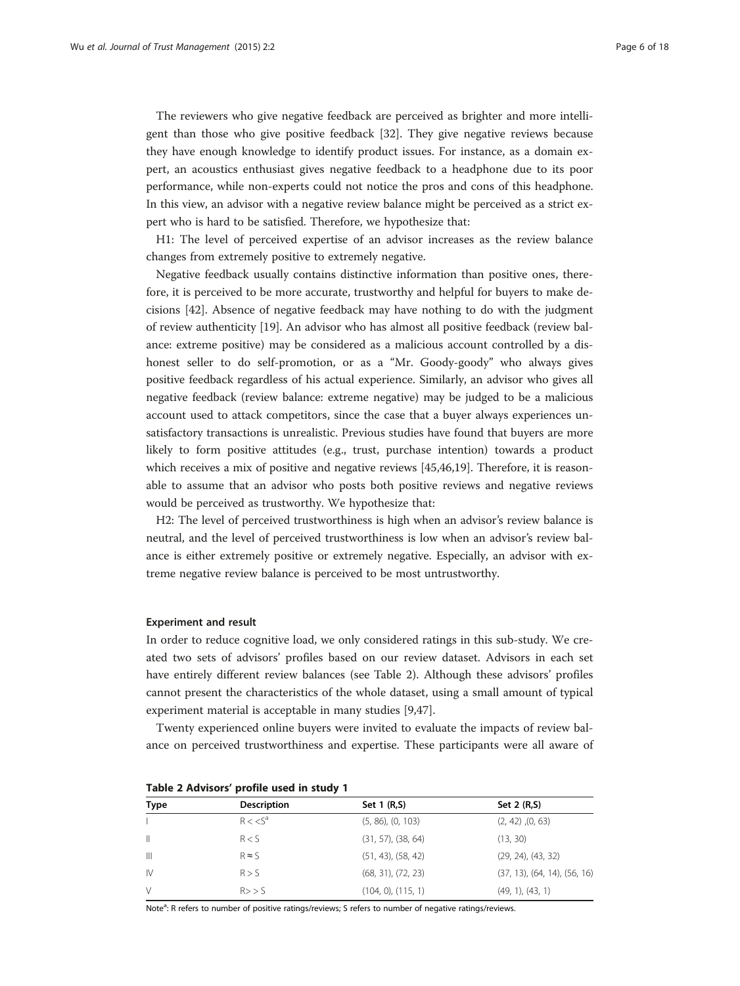The reviewers who give negative feedback are perceived as brighter and more intelligent than those who give positive feedback [[32\]](#page-16-0). They give negative reviews because they have enough knowledge to identify product issues. For instance, as a domain expert, an acoustics enthusiast gives negative feedback to a headphone due to its poor performance, while non-experts could not notice the pros and cons of this headphone. In this view, an advisor with a negative review balance might be perceived as a strict expert who is hard to be satisfied. Therefore, we hypothesize that:

H1: The level of perceived expertise of an advisor increases as the review balance changes from extremely positive to extremely negative.

Negative feedback usually contains distinctive information than positive ones, therefore, it is perceived to be more accurate, trustworthy and helpful for buyers to make decisions [\[42\]](#page-16-0). Absence of negative feedback may have nothing to do with the judgment of review authenticity [\[19\]](#page-16-0). An advisor who has almost all positive feedback (review balance: extreme positive) may be considered as a malicious account controlled by a dishonest seller to do self-promotion, or as a "Mr. Goody-goody" who always gives positive feedback regardless of his actual experience. Similarly, an advisor who gives all negative feedback (review balance: extreme negative) may be judged to be a malicious account used to attack competitors, since the case that a buyer always experiences unsatisfactory transactions is unrealistic. Previous studies have found that buyers are more likely to form positive attitudes (e.g., trust, purchase intention) towards a product which receives a mix of positive and negative reviews [[45,46,19\]](#page-16-0). Therefore, it is reasonable to assume that an advisor who posts both positive reviews and negative reviews would be perceived as trustworthy. We hypothesize that:

H2: The level of perceived trustworthiness is high when an advisor's review balance is neutral, and the level of perceived trustworthiness is low when an advisor's review balance is either extremely positive or extremely negative. Especially, an advisor with extreme negative review balance is perceived to be most untrustworthy.

#### Experiment and result

In order to reduce cognitive load, we only considered ratings in this sub-study. We created two sets of advisors' profiles based on our review dataset. Advisors in each set have entirely different review balances (see Table 2). Although these advisors' profiles cannot present the characteristics of the whole dataset, using a small amount of typical experiment material is acceptable in many studies [\[9](#page-15-0)[,47](#page-16-0)].

Twenty experienced online buyers were invited to evaluate the impacts of review balance on perceived trustworthiness and expertise. These participants were all aware of

| Type         | <b>Description</b> | Set 1 (R,S)             | Set 2 (R,S)                          |  |  |  |  |
|--------------|--------------------|-------------------------|--------------------------------------|--|--|--|--|
|              | $R < S^a$          | $(5, 86)$ , $(0, 103)$  | $(2, 42)$ , $(0, 63)$                |  |  |  |  |
| $\mathbb{I}$ | R < S              | $(31, 57)$ , $(38, 64)$ | (13, 30)                             |  |  |  |  |
| $\mathbb{H}$ | $R \approx S$      | $(51, 43)$ , $(58, 42)$ | $(29, 24)$ , $(43, 32)$              |  |  |  |  |
| -IV          | R > 5              | $(68, 31)$ , $(72, 23)$ | $(37, 13)$ , $(64, 14)$ , $(56, 16)$ |  |  |  |  |
| V            | R>>S               | $(104, 0)$ , $(115, 1)$ | $(49, 1)$ , $(43, 1)$                |  |  |  |  |

Table 2 Advisors' profile used in study 1

Note<sup>a</sup>: R refers to number of positive ratings/reviews; S refers to number of negative ratings/reviews.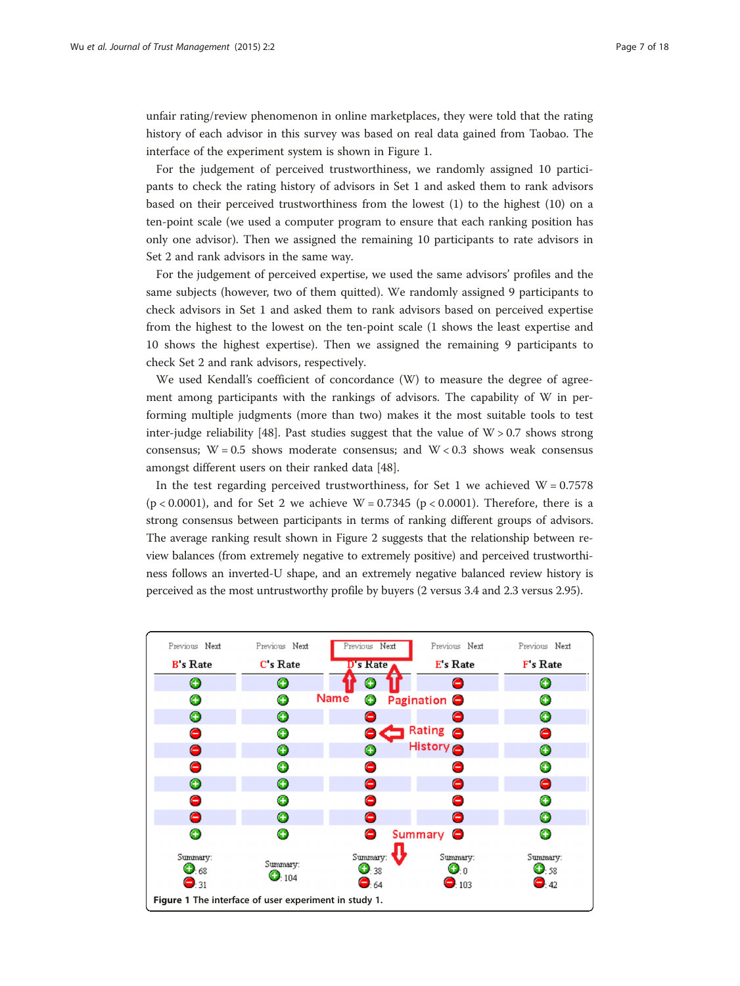unfair rating/review phenomenon in online marketplaces, they were told that the rating history of each advisor in this survey was based on real data gained from Taobao. The interface of the experiment system is shown in Figure 1.

For the judgement of perceived trustworthiness, we randomly assigned 10 participants to check the rating history of advisors in Set 1 and asked them to rank advisors based on their perceived trustworthiness from the lowest (1) to the highest (10) on a ten-point scale (we used a computer program to ensure that each ranking position has only one advisor). Then we assigned the remaining 10 participants to rate advisors in Set 2 and rank advisors in the same way.

For the judgement of perceived expertise, we used the same advisors' profiles and the same subjects (however, two of them quitted). We randomly assigned 9 participants to check advisors in Set 1 and asked them to rank advisors based on perceived expertise from the highest to the lowest on the ten-point scale (1 shows the least expertise and 10 shows the highest expertise). Then we assigned the remaining 9 participants to check Set 2 and rank advisors, respectively.

We used Kendall's coefficient of concordance (W) to measure the degree of agreement among participants with the rankings of advisors. The capability of W in performing multiple judgments (more than two) makes it the most suitable tools to test inter-judge reliability [[48\]](#page-16-0). Past studies suggest that the value of  $W > 0.7$  shows strong consensus;  $W = 0.5$  shows moderate consensus; and  $W < 0.3$  shows weak consensus amongst different users on their ranked data [[48](#page-16-0)].

In the test regarding perceived trustworthiness, for Set 1 we achieved  $W = 0.7578$ ( $p < 0.0001$ ), and for Set 2 we achieve W = 0.7345 ( $p < 0.0001$ ). Therefore, there is a strong consensus between participants in terms of ranking different groups of advisors. The average ranking result shown in Figure [2](#page-7-0) suggests that the relationship between review balances (from extremely negative to extremely positive) and perceived trustworthiness follows an inverted-U shape, and an extremely negative balanced review history is perceived as the most untrustworthy profile by buyers (2 versus 3.4 and 2.3 versus 2.95).

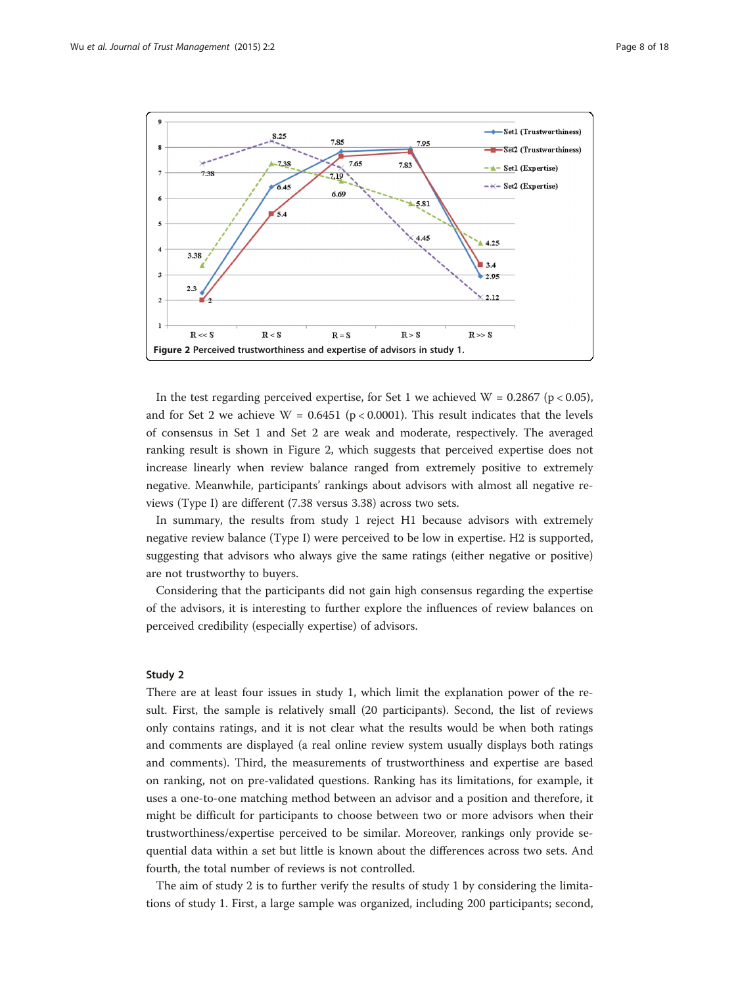<span id="page-7-0"></span>

In the test regarding perceived expertise, for Set 1 we achieved  $W = 0.2867$  (p < 0.05), and for Set 2 we achieve W =  $0.6451$  (p < 0.0001). This result indicates that the levels of consensus in Set 1 and Set 2 are weak and moderate, respectively. The averaged ranking result is shown in Figure 2, which suggests that perceived expertise does not increase linearly when review balance ranged from extremely positive to extremely negative. Meanwhile, participants' rankings about advisors with almost all negative reviews (Type I) are different (7.38 versus 3.38) across two sets.

In summary, the results from study 1 reject H1 because advisors with extremely negative review balance (Type I) were perceived to be low in expertise. H2 is supported, suggesting that advisors who always give the same ratings (either negative or positive) are not trustworthy to buyers.

Considering that the participants did not gain high consensus regarding the expertise of the advisors, it is interesting to further explore the influences of review balances on perceived credibility (especially expertise) of advisors.

#### Study 2

There are at least four issues in study 1, which limit the explanation power of the result. First, the sample is relatively small (20 participants). Second, the list of reviews only contains ratings, and it is not clear what the results would be when both ratings and comments are displayed (a real online review system usually displays both ratings and comments). Third, the measurements of trustworthiness and expertise are based on ranking, not on pre-validated questions. Ranking has its limitations, for example, it uses a one-to-one matching method between an advisor and a position and therefore, it might be difficult for participants to choose between two or more advisors when their trustworthiness/expertise perceived to be similar. Moreover, rankings only provide sequential data within a set but little is known about the differences across two sets. And fourth, the total number of reviews is not controlled.

The aim of study 2 is to further verify the results of study 1 by considering the limitations of study 1. First, a large sample was organized, including 200 participants; second,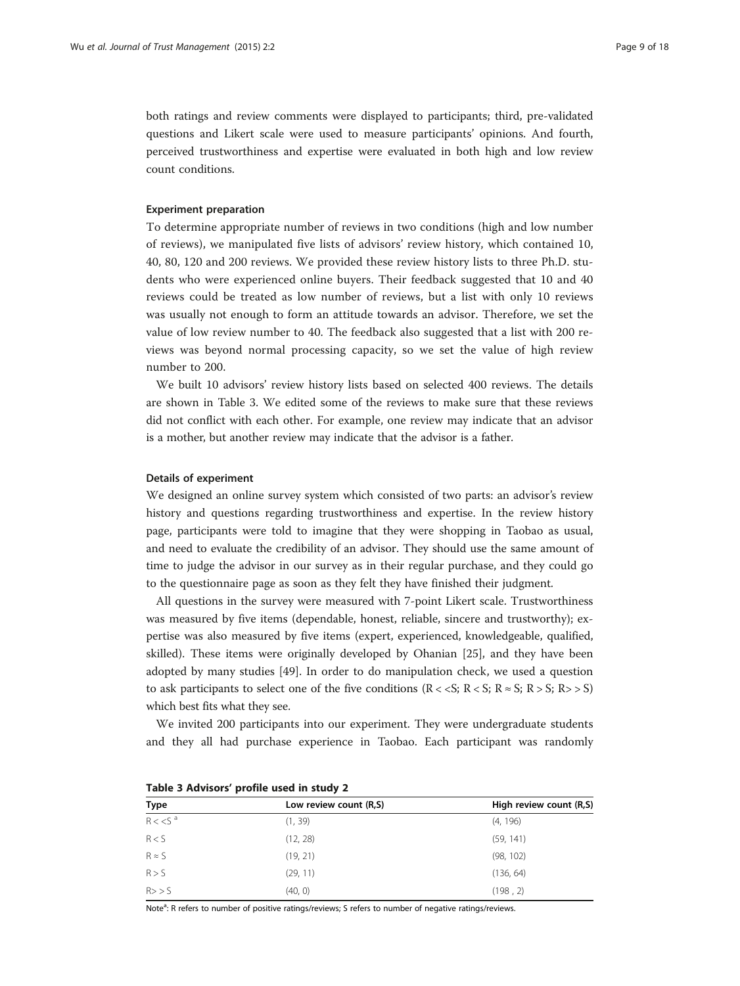both ratings and review comments were displayed to participants; third, pre-validated questions and Likert scale were used to measure participants' opinions. And fourth, perceived trustworthiness and expertise were evaluated in both high and low review count conditions.

#### Experiment preparation

To determine appropriate number of reviews in two conditions (high and low number of reviews), we manipulated five lists of advisors' review history, which contained 10, 40, 80, 120 and 200 reviews. We provided these review history lists to three Ph.D. students who were experienced online buyers. Their feedback suggested that 10 and 40 reviews could be treated as low number of reviews, but a list with only 10 reviews was usually not enough to form an attitude towards an advisor. Therefore, we set the value of low review number to 40. The feedback also suggested that a list with 200 reviews was beyond normal processing capacity, so we set the value of high review number to 200.

We built 10 advisors' review history lists based on selected 400 reviews. The details are shown in Table 3. We edited some of the reviews to make sure that these reviews did not conflict with each other. For example, one review may indicate that an advisor is a mother, but another review may indicate that the advisor is a father.

#### Details of experiment

We designed an online survey system which consisted of two parts: an advisor's review history and questions regarding trustworthiness and expertise. In the review history page, participants were told to imagine that they were shopping in Taobao as usual, and need to evaluate the credibility of an advisor. They should use the same amount of time to judge the advisor in our survey as in their regular purchase, and they could go to the questionnaire page as soon as they felt they have finished their judgment.

All questions in the survey were measured with 7-point Likert scale. Trustworthiness was measured by five items (dependable, honest, reliable, sincere and trustworthy); expertise was also measured by five items (expert, experienced, knowledgeable, qualified, skilled). These items were originally developed by Ohanian [\[25](#page-16-0)], and they have been adopted by many studies [[49\]](#page-16-0). In order to do manipulation check, we used a question to ask participants to select one of the five conditions ( $R \lt S$ ;  $R \lt S$ ;  $R \approx S$ ;  $R \gt S$ ;  $R \gt S$ ) which best fits what they see.

We invited 200 participants into our experiment. They were undergraduate students and they all had purchase experience in Taobao. Each participant was randomly

| Type               | Low review count (R,S) | High review count (R,S) |  |  |  |  |
|--------------------|------------------------|-------------------------|--|--|--|--|
| R < S <sup>a</sup> | (1, 39)                | (4, 196)                |  |  |  |  |
| R < S              | (12, 28)               | (59, 141)               |  |  |  |  |
| $R \approx S$      | (19, 21)               | (98, 102)               |  |  |  |  |
| R > S              | (29, 11)               | (136, 64)               |  |  |  |  |
| R>>S               | (40, 0)                | (198, 2)                |  |  |  |  |

Table 3 Advisors' profile used in study 2

Note<sup>a</sup>: R refers to number of positive ratings/reviews; S refers to number of negative ratings/reviews.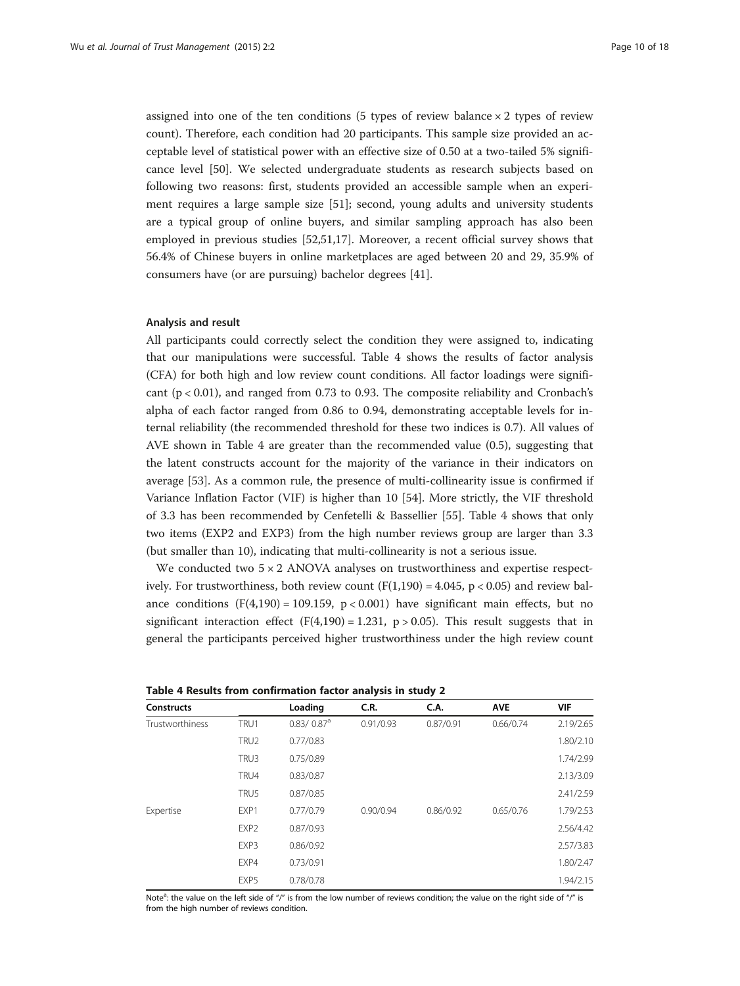assigned into one of the ten conditions (5 types of review balance  $\times$  2 types of review count). Therefore, each condition had 20 participants. This sample size provided an acceptable level of statistical power with an effective size of 0.50 at a two-tailed 5% significance level [[50](#page-16-0)]. We selected undergraduate students as research subjects based on following two reasons: first, students provided an accessible sample when an experiment requires a large sample size [[51\]](#page-16-0); second, young adults and university students are a typical group of online buyers, and similar sampling approach has also been employed in previous studies [\[52,51](#page-16-0)[,17\]](#page-15-0). Moreover, a recent official survey shows that 56.4% of Chinese buyers in online marketplaces are aged between 20 and 29, 35.9% of consumers have (or are pursuing) bachelor degrees [\[41\]](#page-16-0).

#### Analysis and result

All participants could correctly select the condition they were assigned to, indicating that our manipulations were successful. Table 4 shows the results of factor analysis (CFA) for both high and low review count conditions. All factor loadings were significant  $(p < 0.01)$ , and ranged from 0.73 to 0.93. The composite reliability and Cronbach's alpha of each factor ranged from 0.86 to 0.94, demonstrating acceptable levels for internal reliability (the recommended threshold for these two indices is 0.7). All values of AVE shown in Table 4 are greater than the recommended value (0.5), suggesting that the latent constructs account for the majority of the variance in their indicators on average [\[53](#page-16-0)]. As a common rule, the presence of multi-collinearity issue is confirmed if Variance Inflation Factor (VIF) is higher than 10 [[54\]](#page-16-0). More strictly, the VIF threshold of 3.3 has been recommended by Cenfetelli & Bassellier [[55\]](#page-16-0). Table 4 shows that only two items (EXP2 and EXP3) from the high number reviews group are larger than 3.3 (but smaller than 10), indicating that multi-collinearity is not a serious issue.

We conducted two  $5 \times 2$  ANOVA analyses on trustworthiness and expertise respectively. For trustworthiness, both review count  $(F(1,190) = 4.045, p < 0.05)$  and review balance conditions  $(F(4,190) = 109.159, p < 0.001)$  have significant main effects, but no significant interaction effect  $(F(4,190) = 1.231, p > 0.05)$ . This result suggests that in general the participants perceived higher trustworthiness under the high review count

| Loading                  | C.R.      | C.A.      |            |            |
|--------------------------|-----------|-----------|------------|------------|
|                          |           |           | <b>AVE</b> | <b>VIF</b> |
| $0.83/0.87$ <sup>a</sup> | 0.91/0.93 | 0.87/0.91 | 0.66/0.74  | 2.19/2.65  |
| 0.77/0.83                |           |           |            | 1.80/2.10  |
| 0.75/0.89                |           |           |            | 1.74/2.99  |
| 0.83/0.87                |           |           |            | 2.13/3.09  |
| 0.87/0.85                |           |           |            | 2.41/2.59  |
| 0.77/0.79                | 0.90/0.94 | 0.86/0.92 | 0.65/0.76  | 1.79/2.53  |
| 0.87/0.93                |           |           |            | 2.56/4.42  |
| 0.86/0.92                |           |           |            | 2.57/3.83  |
| 0.73/0.91                |           |           |            | 1.80/2.47  |
| 0.78/0.78                |           |           |            | 1.94/2.15  |
|                          |           |           |            |            |

Table 4 Results from confirmation factor analysis in study 2

Note<sup>a</sup>: the value on the left side of "/" is from the low number of reviews condition; the value on the right side of "/" is from the high number of reviews condition.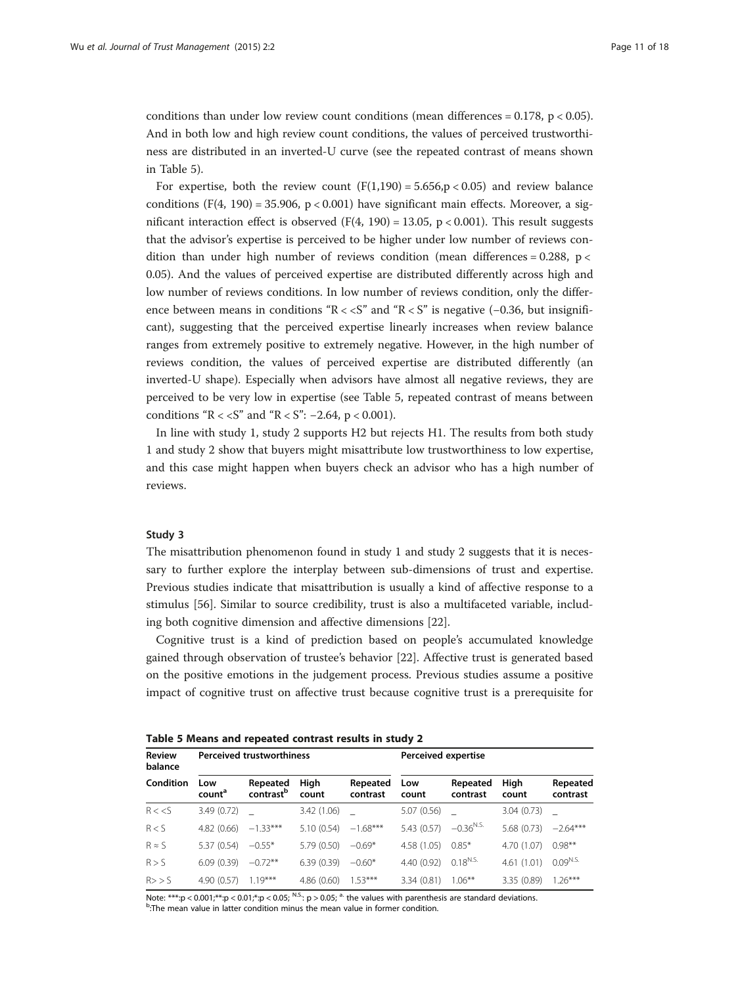conditions than under low review count conditions (mean differences =  $0.178$ , p <  $0.05$ ). And in both low and high review count conditions, the values of perceived trustworthiness are distributed in an inverted-U curve (see the repeated contrast of means shown in Table 5).

For expertise, both the review count  $(F(1,190) = 5.656, p < 0.05)$  and review balance conditions (F(4, 190) = 35.906,  $p < 0.001$ ) have significant main effects. Moreover, a significant interaction effect is observed  $(F(4, 190) = 13.05, p < 0.001)$ . This result suggests that the advisor's expertise is perceived to be higher under low number of reviews condition than under high number of reviews condition (mean differences =  $0.288$ , p < 0.05). And the values of perceived expertise are distributed differently across high and low number of reviews conditions. In low number of reviews condition, only the difference between means in conditions " $R \lt S$ " and " $R \lt S$ " is negative (−0.36, but insignificant), suggesting that the perceived expertise linearly increases when review balance ranges from extremely positive to extremely negative. However, in the high number of reviews condition, the values of perceived expertise are distributed differently (an inverted-U shape). Especially when advisors have almost all negative reviews, they are perceived to be very low in expertise (see Table 5, repeated contrast of means between conditions " $R < S$ " and " $R < S$ ": −2.64, p < 0.001).

In line with study 1, study 2 supports H2 but rejects H1. The results from both study 1 and study 2 show that buyers might misattribute low trustworthiness to low expertise, and this case might happen when buyers check an advisor who has a high number of reviews.

#### Study 3

The misattribution phenomenon found in study 1 and study 2 suggests that it is necessary to further explore the interplay between sub-dimensions of trust and expertise. Previous studies indicate that misattribution is usually a kind of affective response to a stimulus [[56\]](#page-16-0). Similar to source credibility, trust is also a multifaceted variable, including both cognitive dimension and affective dimensions [\[22](#page-16-0)].

Cognitive trust is a kind of prediction based on people's accumulated knowledge gained through observation of trustee's behavior [\[22](#page-16-0)]. Affective trust is generated based on the positive emotions in the judgement process. Previous studies assume a positive impact of cognitive trust on affective trust because cognitive trust is a prerequisite for

Table 5 Means and repeated contrast results in study 2

| <b>Review</b><br>balance |                           | <b>Perceived trustworthiness</b>  |               |                      | <b>Perceived expertise</b> |                      |               |                      |
|--------------------------|---------------------------|-----------------------------------|---------------|----------------------|----------------------------|----------------------|---------------|----------------------|
| Condition                | Low<br>count <sup>a</sup> | Repeated<br>contrast <sup>b</sup> | High<br>count | Repeated<br>contrast | Low<br>count               | Repeated<br>contrast | High<br>count | Repeated<br>contrast |
| R < S                    | 3.49(0.72)                |                                   | 3.42 (1.06)   |                      | 5.07 (0.56)                |                      | 3.04(0.73)    |                      |
| R < S                    | 4.82(0.66)                | $-1.33***$                        | 5.10(0.54)    | $-1.68***$           | 5.43 (0.57)                | $-0.36^{N.S.}$       | 5.68(0.73)    | $-2.64***$           |
| $R \approx S$            | 5.37(0.54)                | $-0.55*$                          | 5.79 (0.50)   | $-0.69*$             | 4.58(1.05)                 | $0.85*$              | 4.70 (1.07)   | $0.98***$            |
| R > S                    | 6.09(0.39)                | $-0.72**$                         | 6.39(0.39)    | $-0.60*$             | 4.40 (0.92)                | $0.18^{N.S.}$        | 4.61(1.01)    | 0.09 <sup>N.S.</sup> |
| R>>S                     | 4.90(0.57)                | $1.19***$                         | 4.86(0.60)    | $1.53***$            | 3.34(0.81)                 | $1.06***$            | 3.35 (0.89)   | $1.26***$            |

Note: \*\*\*:p < 0.001;\*\*:p < 0.01;\*:p < 0.05; <sup>N.S.</sup>: p > 0.05; <sup>a.</sup> the values with parenthesis are standard deviations.

<sup>b</sup>:The mean value in latter condition minus the mean value in former condition.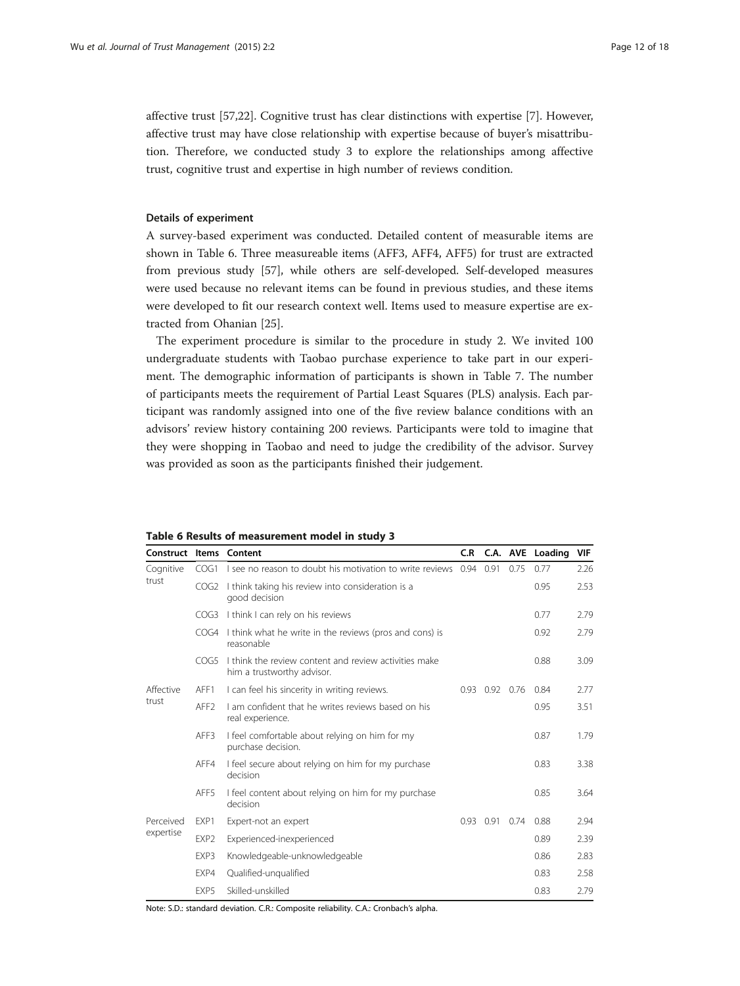<span id="page-11-0"></span>affective trust [[57](#page-16-0),[22](#page-16-0)]. Cognitive trust has clear distinctions with expertise [\[7](#page-15-0)]. However, affective trust may have close relationship with expertise because of buyer's misattribution. Therefore, we conducted study 3 to explore the relationships among affective trust, cognitive trust and expertise in high number of reviews condition.

#### Details of experiment

A survey-based experiment was conducted. Detailed content of measurable items are shown in Table 6. Three measureable items (AFF3, AFF4, AFF5) for trust are extracted from previous study [\[57\]](#page-16-0), while others are self-developed. Self-developed measures were used because no relevant items can be found in previous studies, and these items were developed to fit our research context well. Items used to measure expertise are extracted from Ohanian [\[25\]](#page-16-0).

The experiment procedure is similar to the procedure in study 2. We invited 100 undergraduate students with Taobao purchase experience to take part in our experiment. The demographic information of participants is shown in Table [7.](#page-12-0) The number of participants meets the requirement of Partial Least Squares (PLS) analysis. Each participant was randomly assigned into one of the five review balance conditions with an advisors' review history containing 200 reviews. Participants were told to imagine that they were shopping in Taobao and need to judge the credibility of the advisor. Survey was provided as soon as the participants finished their judgement.

| Construct |                  | <b>Items</b> Content                                                                | C.R |                |      | C.A. AVE Loading | <b>VIF</b> |
|-----------|------------------|-------------------------------------------------------------------------------------|-----|----------------|------|------------------|------------|
| Cognitive | COG1             | I see no reason to doubt his motivation to write reviews 0.94 0.91                  |     |                | 0.75 | 0.77             | 2.26       |
| trust     | COG <sub>2</sub> | I think taking his review into consideration is a<br>good decision                  |     |                |      | 0.95             | 2.53       |
|           | COG3             | I think I can rely on his reviews                                                   |     |                |      | 0.77             | 2.79       |
|           | COG4             | I think what he write in the reviews (pros and cons) is<br>reasonable               |     |                |      | 0.92             | 2.79       |
|           | COG5             | I think the review content and review activities make<br>him a trustworthy advisor. |     |                |      | 0.88             | 3.09       |
| Affective | AFF1             | I can feel his sincerity in writing reviews.                                        |     | 0.93 0.92 0.76 |      | 0.84             | 2.77       |
| trust     | AFF <sub>2</sub> | Lam confident that he writes reviews based on his<br>real experience.               |     |                |      | 0.95             | 3.51       |
|           | AFF3             | I feel comfortable about relying on him for my<br>purchase decision.                |     |                |      | 0.87             | 1.79       |
|           | AFF4             | I feel secure about relying on him for my purchase<br>decision                      |     |                |      | 0.83             | 3.38       |
|           | AFF5             | I feel content about relying on him for my purchase<br>decision                     |     |                |      | 0.85             | 3.64       |
| Perceived | EXP1             | Expert-not an expert                                                                |     | 0.93 0.91      | 0.74 | 0.88             | 2.94       |
| expertise | EXP <sub>2</sub> | Experienced-inexperienced                                                           |     |                |      | 0.89             | 2.39       |
|           | EXP3             | Knowledgeable-unknowledgeable                                                       |     |                |      | 0.86             | 2.83       |
|           | EXP4             | Qualified-unqualified                                                               |     |                |      | 0.83             | 2.58       |
|           | EXP5             | Skilled-unskilled                                                                   |     |                |      | 0.83             | 2.79       |

Table 6 Results of measurement model in study 3

Note: S.D.: standard deviation. C.R.: Composite reliability. C.A.: Cronbach's alpha.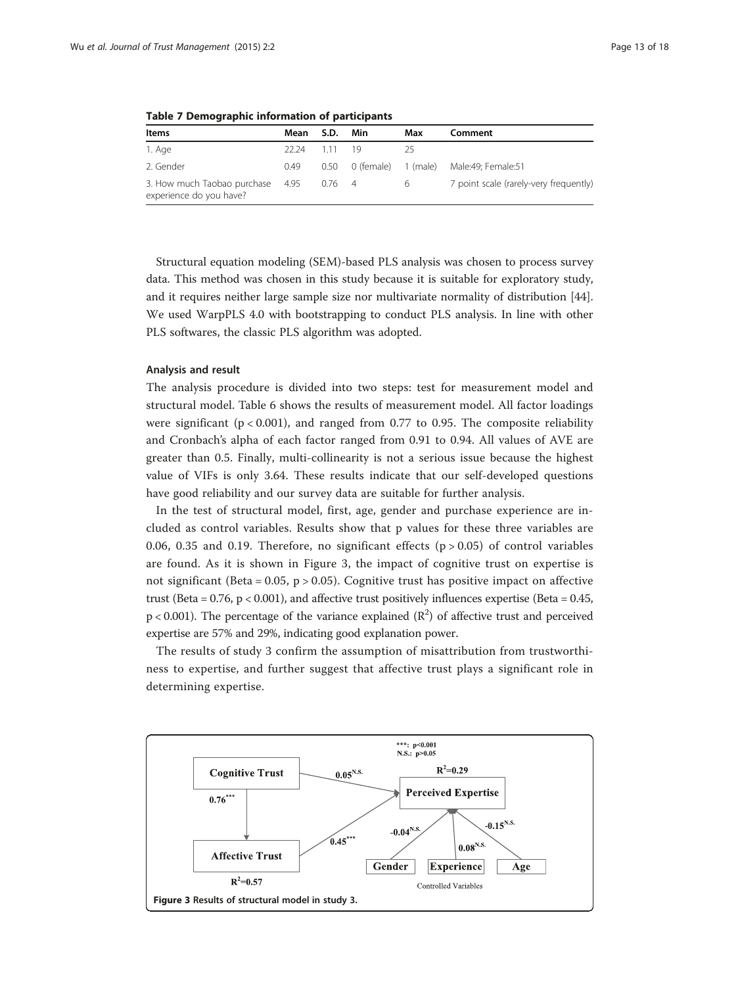<span id="page-12-0"></span>Table 7 Demographic information of participants

| <b>Items</b>                                                       | Mean S.D. Min |  | Max   | Comment                                     |
|--------------------------------------------------------------------|---------------|--|-------|---------------------------------------------|
| 1. Age                                                             | 2224 111 19   |  | -25   |                                             |
| 2. Gender                                                          | 0.49          |  |       | 0.50 0 (female) 1 (male) Male:49; Female:51 |
| 3. How much Taobao purchase 4.95 0.76 4<br>experience do you have? |               |  | $6 -$ | 7 point scale (rarely-very frequently)      |

Structural equation modeling (SEM)-based PLS analysis was chosen to process survey data. This method was chosen in this study because it is suitable for exploratory study, and it requires neither large sample size nor multivariate normality of distribution [[44](#page-16-0)]. We used WarpPLS 4.0 with bootstrapping to conduct PLS analysis. In line with other PLS softwares, the classic PLS algorithm was adopted.

## Analysis and result

The analysis procedure is divided into two steps: test for measurement model and structural model. Table [6](#page-11-0) shows the results of measurement model. All factor loadings were significant  $(p < 0.001)$ , and ranged from 0.77 to 0.95. The composite reliability and Cronbach's alpha of each factor ranged from 0.91 to 0.94. All values of AVE are greater than 0.5. Finally, multi-collinearity is not a serious issue because the highest value of VIFs is only 3.64. These results indicate that our self-developed questions have good reliability and our survey data are suitable for further analysis.

In the test of structural model, first, age, gender and purchase experience are included as control variables. Results show that p values for these three variables are 0.06, 0.35 and 0.19. Therefore, no significant effects ( $p > 0.05$ ) of control variables are found. As it is shown in Figure 3, the impact of cognitive trust on expertise is not significant (Beta =  $0.05$ , p >  $0.05$ ). Cognitive trust has positive impact on affective trust (Beta =  $0.76$ , p <  $0.001$ ), and affective trust positively influences expertise (Beta =  $0.45$ ,  $p < 0.001$ ). The percentage of the variance explained ( $\mathbb{R}^2$ ) of affective trust and perceived expertise are 57% and 29%, indicating good explanation power.

The results of study 3 confirm the assumption of misattribution from trustworthiness to expertise, and further suggest that affective trust plays a significant role in determining expertise.

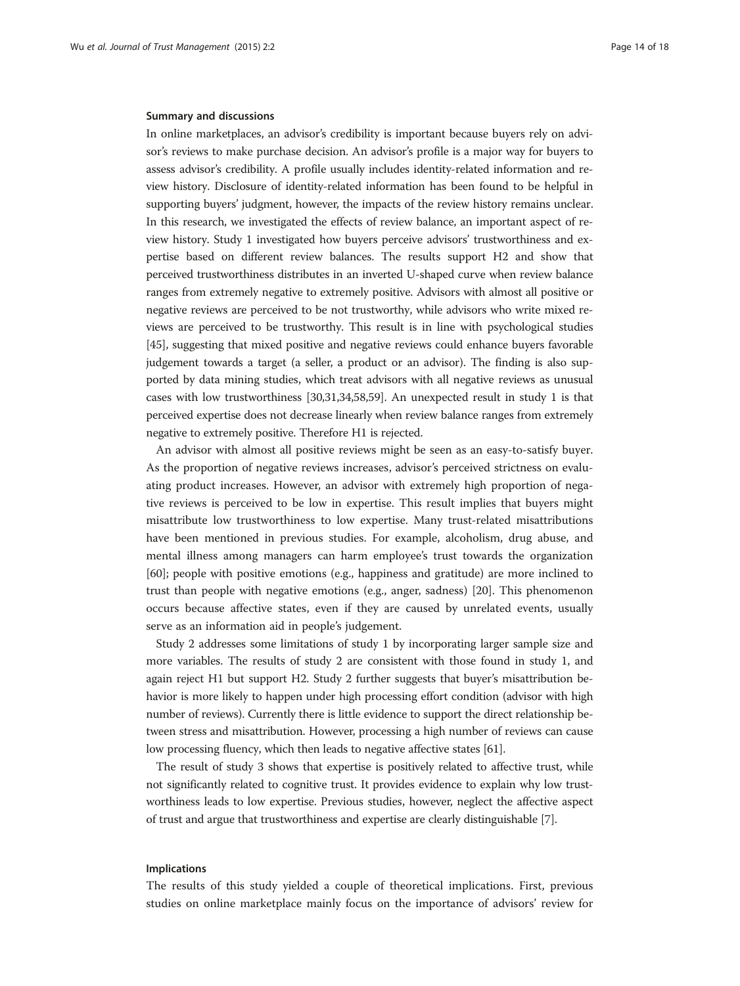### Summary and discussions

In online marketplaces, an advisor's credibility is important because buyers rely on advisor's reviews to make purchase decision. An advisor's profile is a major way for buyers to assess advisor's credibility. A profile usually includes identity-related information and review history. Disclosure of identity-related information has been found to be helpful in supporting buyers' judgment, however, the impacts of the review history remains unclear. In this research, we investigated the effects of review balance, an important aspect of review history. Study 1 investigated how buyers perceive advisors' trustworthiness and expertise based on different review balances. The results support H2 and show that perceived trustworthiness distributes in an inverted U-shaped curve when review balance ranges from extremely negative to extremely positive. Advisors with almost all positive or negative reviews are perceived to be not trustworthy, while advisors who write mixed reviews are perceived to be trustworthy. This result is in line with psychological studies [[45](#page-16-0)], suggesting that mixed positive and negative reviews could enhance buyers favorable judgement towards a target (a seller, a product or an advisor). The finding is also supported by data mining studies, which treat advisors with all negative reviews as unusual cases with low trustworthiness [[30,31,34,](#page-16-0)[58](#page-17-0),[59](#page-17-0)]. An unexpected result in study 1 is that perceived expertise does not decrease linearly when review balance ranges from extremely negative to extremely positive. Therefore H1 is rejected.

An advisor with almost all positive reviews might be seen as an easy-to-satisfy buyer. As the proportion of negative reviews increases, advisor's perceived strictness on evaluating product increases. However, an advisor with extremely high proportion of negative reviews is perceived to be low in expertise. This result implies that buyers might misattribute low trustworthiness to low expertise. Many trust-related misattributions have been mentioned in previous studies. For example, alcoholism, drug abuse, and mental illness among managers can harm employee's trust towards the organization [[60\]](#page-17-0); people with positive emotions (e.g., happiness and gratitude) are more inclined to trust than people with negative emotions (e.g., anger, sadness) [\[20](#page-16-0)]. This phenomenon occurs because affective states, even if they are caused by unrelated events, usually serve as an information aid in people's judgement.

Study 2 addresses some limitations of study 1 by incorporating larger sample size and more variables. The results of study 2 are consistent with those found in study 1, and again reject H1 but support H2. Study 2 further suggests that buyer's misattribution behavior is more likely to happen under high processing effort condition (advisor with high number of reviews). Currently there is little evidence to support the direct relationship between stress and misattribution. However, processing a high number of reviews can cause low processing fluency, which then leads to negative affective states [\[61\]](#page-17-0).

The result of study 3 shows that expertise is positively related to affective trust, while not significantly related to cognitive trust. It provides evidence to explain why low trustworthiness leads to low expertise. Previous studies, however, neglect the affective aspect of trust and argue that trustworthiness and expertise are clearly distinguishable [[7](#page-15-0)].

#### Implications

The results of this study yielded a couple of theoretical implications. First, previous studies on online marketplace mainly focus on the importance of advisors' review for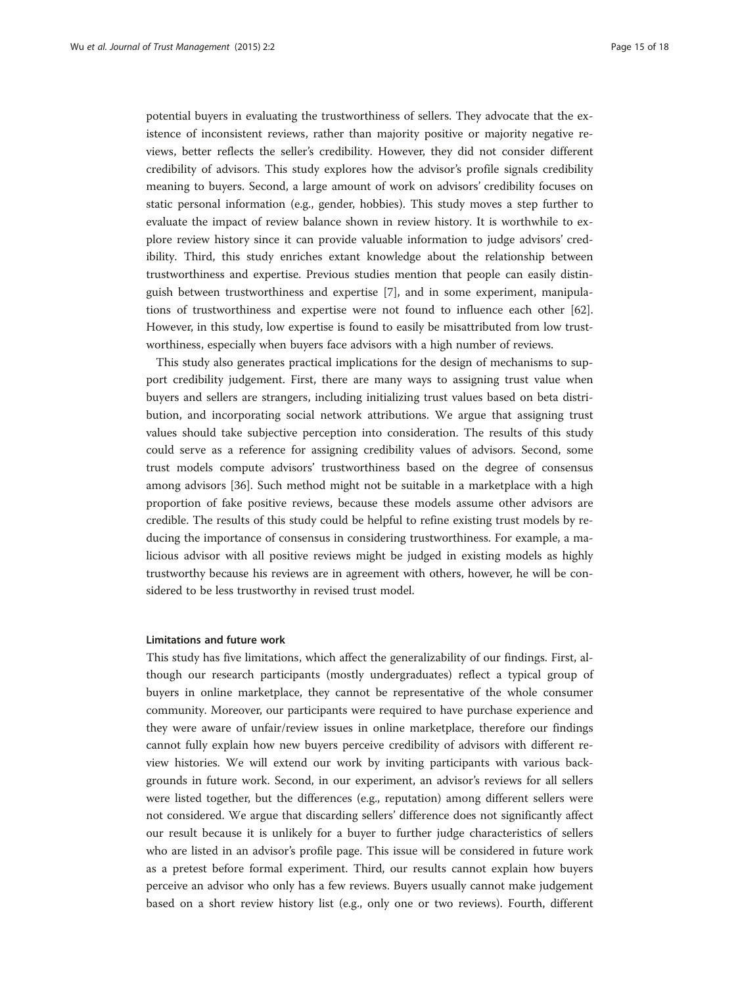potential buyers in evaluating the trustworthiness of sellers. They advocate that the existence of inconsistent reviews, rather than majority positive or majority negative reviews, better reflects the seller's credibility. However, they did not consider different credibility of advisors. This study explores how the advisor's profile signals credibility meaning to buyers. Second, a large amount of work on advisors' credibility focuses on static personal information (e.g., gender, hobbies). This study moves a step further to evaluate the impact of review balance shown in review history. It is worthwhile to explore review history since it can provide valuable information to judge advisors' credibility. Third, this study enriches extant knowledge about the relationship between trustworthiness and expertise. Previous studies mention that people can easily distinguish between trustworthiness and expertise [[7\]](#page-15-0), and in some experiment, manipulations of trustworthiness and expertise were not found to influence each other [[62](#page-17-0)]. However, in this study, low expertise is found to easily be misattributed from low trustworthiness, especially when buyers face advisors with a high number of reviews.

This study also generates practical implications for the design of mechanisms to support credibility judgement. First, there are many ways to assigning trust value when buyers and sellers are strangers, including initializing trust values based on beta distribution, and incorporating social network attributions. We argue that assigning trust values should take subjective perception into consideration. The results of this study could serve as a reference for assigning credibility values of advisors. Second, some trust models compute advisors' trustworthiness based on the degree of consensus among advisors [[36](#page-16-0)]. Such method might not be suitable in a marketplace with a high proportion of fake positive reviews, because these models assume other advisors are credible. The results of this study could be helpful to refine existing trust models by reducing the importance of consensus in considering trustworthiness. For example, a malicious advisor with all positive reviews might be judged in existing models as highly trustworthy because his reviews are in agreement with others, however, he will be considered to be less trustworthy in revised trust model.

#### Limitations and future work

This study has five limitations, which affect the generalizability of our findings. First, although our research participants (mostly undergraduates) reflect a typical group of buyers in online marketplace, they cannot be representative of the whole consumer community. Moreover, our participants were required to have purchase experience and they were aware of unfair/review issues in online marketplace, therefore our findings cannot fully explain how new buyers perceive credibility of advisors with different review histories. We will extend our work by inviting participants with various backgrounds in future work. Second, in our experiment, an advisor's reviews for all sellers were listed together, but the differences (e.g., reputation) among different sellers were not considered. We argue that discarding sellers' difference does not significantly affect our result because it is unlikely for a buyer to further judge characteristics of sellers who are listed in an advisor's profile page. This issue will be considered in future work as a pretest before formal experiment. Third, our results cannot explain how buyers perceive an advisor who only has a few reviews. Buyers usually cannot make judgement based on a short review history list (e.g., only one or two reviews). Fourth, different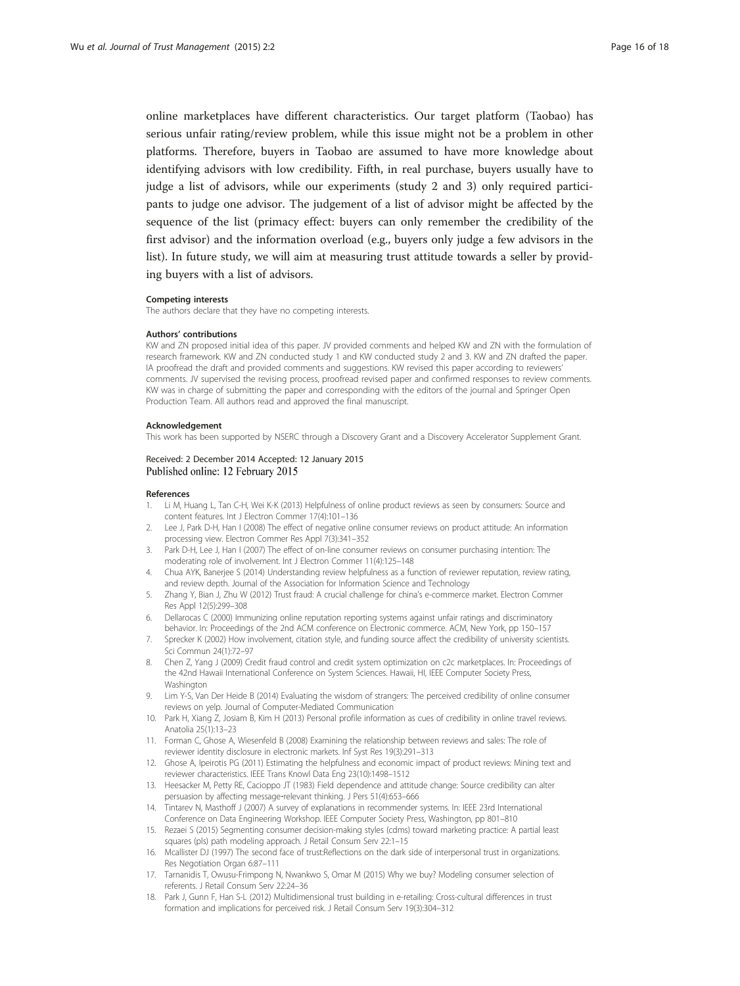<span id="page-15-0"></span>online marketplaces have different characteristics. Our target platform (Taobao) has serious unfair rating/review problem, while this issue might not be a problem in other platforms. Therefore, buyers in Taobao are assumed to have more knowledge about identifying advisors with low credibility. Fifth, in real purchase, buyers usually have to judge a list of advisors, while our experiments (study 2 and 3) only required participants to judge one advisor. The judgement of a list of advisor might be affected by the sequence of the list (primacy effect: buyers can only remember the credibility of the first advisor) and the information overload (e.g., buyers only judge a few advisors in the list). In future study, we will aim at measuring trust attitude towards a seller by providing buyers with a list of advisors.

#### Competing interests

The authors declare that they have no competing interests.

#### Authors' contributions

KW and ZN proposed initial idea of this paper. JV provided comments and helped KW and ZN with the formulation of research framework. KW and ZN conducted study 1 and KW conducted study 2 and 3. KW and ZN drafted the paper. IA proofread the draft and provided comments and suggestions. KW revised this paper according to reviewers' comments. JV supervised the revising process, proofread revised paper and confirmed responses to review comments. KW was in charge of submitting the paper and corresponding with the editors of the journal and Springer Open Production Team. All authors read and approved the final manuscript.

#### Acknowledgement

This work has been supported by NSERC through a Discovery Grant and a Discovery Accelerator Supplement Grant.

#### Received: 2 December 2014 Accepted: 12 January 2015 Published online: 12 February 2015

#### References

- Li M, Huang L, Tan C-H, Wei K-K (2013) Helpfulness of online product reviews as seen by consumers: Source and content features. Int J Electron Commer 17(4):101–136
- 2. Lee J, Park D-H, Han I (2008) The effect of negative online consumer reviews on product attitude: An information processing view. Electron Commer Res Appl 7(3):341–352
- 3. Park D-H, Lee J, Han I (2007) The effect of on-line consumer reviews on consumer purchasing intention: The moderating role of involvement. Int J Electron Commer 11(4):125–148
- 4. Chua AYK, Banerjee S (2014) Understanding review helpfulness as a function of reviewer reputation, review rating, and review depth. Journal of the Association for Information Science and Technology
- 5. Zhang Y, Bian J, Zhu W (2012) Trust fraud: A crucial challenge for china's e-commerce market. Electron Commer Res Appl 12(5):299–308
- 6. Dellarocas C (2000) Immunizing online reputation reporting systems against unfair ratings and discriminatory behavior. In: Proceedings of the 2nd ACM conference on Electronic commerce. ACM, New York, pp 150–157
- 7. Sprecker K (2002) How involvement, citation style, and funding source affect the credibility of university scientists. Sci Commun 24(1):72–97
- 8. Chen Z, Yang J (2009) Credit fraud control and credit system optimization on c2c marketplaces. In: Proceedings of the 42nd Hawaii International Conference on System Sciences. Hawaii, HI, IEEE Computer Society Press, Washington
- 9. Lim Y-S, Van Der Heide B (2014) Evaluating the wisdom of strangers: The perceived credibility of online consumer reviews on yelp. Journal of Computer-Mediated Communication
- 10. Park H, Xiang Z, Josiam B, Kim H (2013) Personal profile information as cues of credibility in online travel reviews. Anatolia 25(1):13–23
- 11. Forman C, Ghose A, Wiesenfeld B (2008) Examining the relationship between reviews and sales: The role of reviewer identity disclosure in electronic markets. Inf Syst Res 19(3):291–313
- 12. Ghose A, Ipeirotis PG (2011) Estimating the helpfulness and economic impact of product reviews: Mining text and reviewer characteristics. IEEE Trans Knowl Data Eng 23(10):1498–1512
- 13. Heesacker M, Petty RE, Cacioppo JT (1983) Field dependence and attitude change: Source credibility can alter persuasion by affecting message-relevant thinking. J Pers 51(4):653-666
- 14. Tintarev N, Masthoff J (2007) A survey of explanations in recommender systems. In: IEEE 23rd International Conference on Data Engineering Workshop. IEEE Computer Society Press, Washington, pp 801–810
- 15. Rezaei S (2015) Segmenting consumer decision-making styles (cdms) toward marketing practice: A partial least squares (pls) path modeling approach. J Retail Consum Serv 22:1–15
- 16. Mcallister DJ (1997) The second face of trust:Reflections on the dark side of interpersonal trust in organizations. Res Negotiation Organ 6:87–111
- 17. Tarnanidis T, Owusu-Frimpong N, Nwankwo S, Omar M (2015) Why we buy? Modeling consumer selection of referents. J Retail Consum Serv 22:24–36
- 18. Park J, Gunn F, Han S-L (2012) Multidimensional trust building in e-retailing: Cross-cultural differences in trust formation and implications for perceived risk. J Retail Consum Serv 19(3):304–312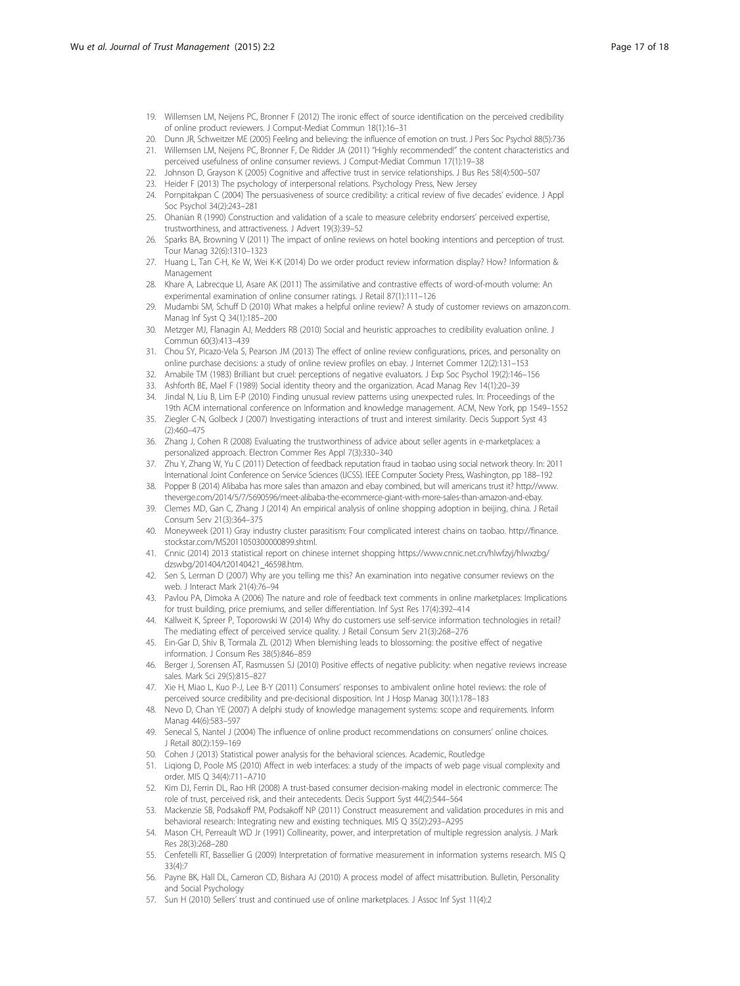- <span id="page-16-0"></span>19. Willemsen LM, Neijens PC, Bronner F (2012) The ironic effect of source identification on the perceived credibility of online product reviewers. J Comput-Mediat Commun 18(1):16–31
- 20. Dunn JR, Schweitzer ME (2005) Feeling and believing: the influence of emotion on trust. J Pers Soc Psychol 88(5):736
- 21. Willemsen LM, Neijens PC, Bronner F, De Ridder JA (2011) "Highly recommended!" the content characteristics and perceived usefulness of online consumer reviews. J Comput-Mediat Commun 17(1):19–38
- 22. Johnson D, Grayson K (2005) Cognitive and affective trust in service relationships. J Bus Res 58(4):500–507
- 23. Heider F (2013) The psychology of interpersonal relations. Psychology Press, New Jersey
- 24. Pornpitakpan C (2004) The persuasiveness of source credibility: a critical review of five decades' evidence. J Appl Soc Psychol 34(2):243–281
- 25. Ohanian R (1990) Construction and validation of a scale to measure celebrity endorsers' perceived expertise, trustworthiness, and attractiveness. J Advert 19(3):39–52
- 26. Sparks BA, Browning V (2011) The impact of online reviews on hotel booking intentions and perception of trust. Tour Manag 32(6):1310–1323
- 27. Huang L, Tan C-H, Ke W, Wei K-K (2014) Do we order product review information display? How? Information & Management
- 28. Khare A, Labrecque LI, Asare AK (2011) The assimilative and contrastive effects of word-of-mouth volume: An experimental examination of online consumer ratings. J Retail 87(1):111–126
- 29. Mudambi SM, Schuff D (2010) What makes a helpful online review? A study of customer reviews on amazon.com. Manag Inf Syst Q 34(1):185–200
- 30. Metzger MJ, Flanagin AJ, Medders RB (2010) Social and heuristic approaches to credibility evaluation online. J Commun 60(3):413–439
- 31. Chou SY, Picazo-Vela S, Pearson JM (2013) The effect of online review configurations, prices, and personality on online purchase decisions: a study of online review profiles on ebay. J Internet Commer 12(2):131–153
- 32. Amabile TM (1983) Brilliant but cruel: perceptions of negative evaluators. J Exp Soc Psychol 19(2):146–156
- 33. Ashforth BE, Mael F (1989) Social identity theory and the organization. Acad Manag Rev 14(1):20–39
- 34. Jindal N, Liu B, Lim E-P (2010) Finding unusual review patterns using unexpected rules. In: Proceedings of the 19th ACM international conference on Information and knowledge management. ACM, New York, pp 1549–1552
- 35. Ziegler C-N, Golbeck J (2007) Investigating interactions of trust and interest similarity. Decis Support Syst 43 (2):460–475
- 36. Zhang J, Cohen R (2008) Evaluating the trustworthiness of advice about seller agents in e-marketplaces: a personalized approach. Electron Commer Res Appl 7(3):330–340
- 37. Zhu Y, Zhang W, Yu C (2011) Detection of feedback reputation fraud in taobao using social network theory. In: 2011 International Joint Conference on Service Sciences (IJCSS). IEEE Computer Society Press, Washington, pp 188–192
- 38. Popper B (2014) Alibaba has more sales than amazon and ebay combined, but will americans trust it? [http://www.](http://www.theverge.com/2014/5/7/5690596/meet-alibaba-the-ecommerce-giant-with-more-sales-than-amazon-and-ebay) [theverge.com/2014/5/7/5690596/meet-alibaba-the-ecommerce-giant-with-more-sales-than-amazon-and-ebay.](http://www.theverge.com/2014/5/7/5690596/meet-alibaba-the-ecommerce-giant-with-more-sales-than-amazon-and-ebay)
- 39. Clemes MD, Gan C, Zhang J (2014) An empirical analysis of online shopping adoption in beijing, china. J Retail Consum Serv 21(3):364–375
- 40. Moneyweek (2011) Gray industry cluster parasitism: Four complicated interest chains on taobao. [http://finance.](http://finance.stockstar.com/MS2011050300000899.shtml) [stockstar.com/MS2011050300000899.shtml.](http://finance.stockstar.com/MS2011050300000899.shtml)
- 41. Cnnic (2014) 2013 statistical report on chinese internet shopping [https://www.cnnic.net.cn/hlwfzyj/hlwxzbg/](https://www.cnnic.net.cn/hlwfzyj/hlwxzbg/dzswbg/201404/t20140421_46598.htm) [dzswbg/201404/t20140421\\_46598.htm](https://www.cnnic.net.cn/hlwfzyj/hlwxzbg/dzswbg/201404/t20140421_46598.htm).
- 42. Sen S, Lerman D (2007) Why are you telling me this? An examination into negative consumer reviews on the web. J Interact Mark 21(4):76–94
- 43. Pavlou PA, Dimoka A (2006) The nature and role of feedback text comments in online marketplaces: Implications for trust building, price premiums, and seller differentiation. Inf Syst Res 17(4):392–414
- 44. Kallweit K, Spreer P, Toporowski W (2014) Why do customers use self-service information technologies in retail? The mediating effect of perceived service quality. J Retail Consum Serv 21(3):268–276
- 45. Ein-Gar D, Shiv B, Tormala ZL (2012) When blemishing leads to blossoming: the positive effect of negative information. J Consum Res 38(5):846–859
- 46. Berger J, Sorensen AT, Rasmussen SJ (2010) Positive effects of negative publicity: when negative reviews increase sales. Mark Sci 29(5):815–827
- 47. Xie H, Miao L, Kuo P-J, Lee B-Y (2011) Consumers' responses to ambivalent online hotel reviews: the role of perceived source credibility and pre-decisional disposition. Int J Hosp Manag 30(1):178–183
- 48. Nevo D, Chan YE (2007) A delphi study of knowledge management systems: scope and requirements. Inform Manag 44(6):583–597
- 49. Senecal S, Nantel J (2004) The influence of online product recommendations on consumers' online choices. J Retail 80(2):159–169
- 50. Cohen J (2013) Statistical power analysis for the behavioral sciences. Academic, Routledge
- 51. Liqiong D, Poole MS (2010) Affect in web interfaces: a study of the impacts of web page visual complexity and order. MIS Q 34(4):711–A710
- 52. Kim DJ, Ferrin DL, Rao HR (2008) A trust-based consumer decision-making model in electronic commerce: The role of trust, perceived risk, and their antecedents. Decis Support Syst 44(2):544–564
- 53. Mackenzie SB, Podsakoff PM, Podsakoff NP (2011) Construct measurement and validation procedures in mis and behavioral research: Integrating new and existing techniques. MIS Q 35(2):293–A295
- 54. Mason CH, Perreault WD Jr (1991) Collinearity, power, and interpretation of multiple regression analysis. J Mark Res 28(3):268–280
- 55. Cenfetelli RT, Bassellier G (2009) Interpretation of formative measurement in information systems research. MIS Q 33(4):7
- 56. Payne BK, Hall DL, Cameron CD, Bishara AJ (2010) A process model of affect misattribution. Bulletin, Personality and Social Psychology
- 57. Sun H (2010) Sellers' trust and continued use of online marketplaces. J Assoc Inf Syst 11(4):2